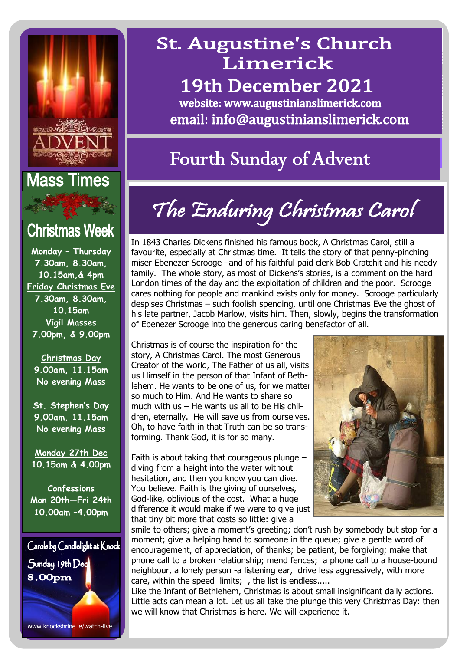

### **Mass Times**

### **Christmas Week**

**Monday – Thursday 7.30am, 8.30am, 10.15am,& 4pm Friday Christmas Eve 7.30am, 8.30am, 10.15am Vigil Masses 7.00pm, & 9.00pm**

**Christmas Day 9.00am, 11.15am No evening Mass**

**St. Stephen's Day 9.00am, 11.15am No evening Mass**

**Monday 27th Dec 10.15am & 4.00pm**

**Confessions Mon 20th—Fri 24th 10.00am –4.00pm** 



### **St. Augustine's Church** Limerick 19th December 2021

website: www.augustinianslimerick.com email: info@augustinianslimerick.com

## **Fourth Sunday of Advent**

# The Enduring Christmas Carol

In 1843 Charles Dickens finished his famous book, A Christmas Carol, still a favourite, especially at Christmas time. It tells the story of that penny-pinching miser Ebenezer Scrooge –and of his faithful paid clerk Bob Cratchit and his needy family. The whole story, as most of Dickens's stories, is a comment on the hard London times of the day and the exploitation of children and the poor. Scrooge cares nothing for people and mankind exists only for money. Scrooge particularly despises Christmas – such foolish spending, until one Christmas Eve the ghost of his late partner, Jacob Marlow, visits him. Then, slowly, begins the transformation of Ebenezer Scrooge into the generous caring benefactor of all.

Christmas is of course the inspiration for the story, A Christmas Carol. The most Generous Creator of the world, The Father of us all, visits us Himself in the person of that Infant of Bethlehem. He wants to be one of us, for we matter so much to Him. And He wants to share so much with us – He wants us all to be His children, eternally. He will save us from ourselves. Oh, to have faith in that Truth can be so transforming. Thank God, it is for so many.

Faith is about taking that courageous plunge – diving from a height into the water without hesitation, and then you know you can dive. You believe. Faith is the giving of ourselves, God-like, oblivious of the cost. What a huge difference it would make if we were to give just that tiny bit more that costs so little: give a



smile to others; give a moment's greeting; don't rush by somebody but stop for a moment; give a helping hand to someone in the queue; give a gentle word of encouragement, of appreciation, of thanks; be patient, be forgiving; make that phone call to a broken relationship; mend fences; a phone call to a house-bound neighbour, a lonely person -a listening ear, drive less aggressively, with more care, within the speed limits; , the list is endless.....

Like the Infant of Bethlehem, Christmas is about small insignificant daily actions. Little acts can mean a lot. Let us all take the plunge this very Christmas Day: then we will know that Christmas is here. We will experience it.